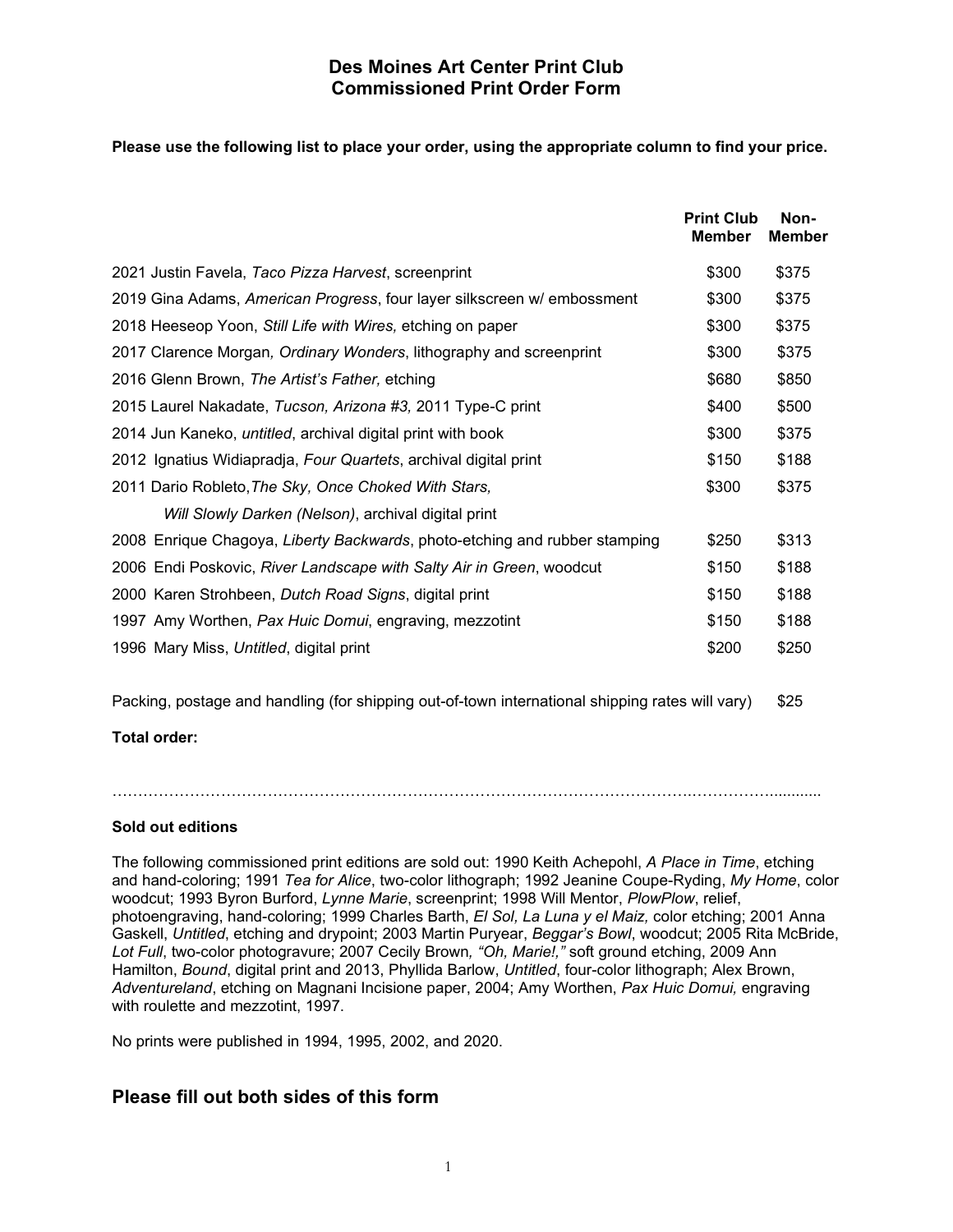### **Des Moines Art Center Print Club Commissioned Print Order Form**

### **Please use the following list to place your order, using the appropriate column to find your price.**

|                                                                            | <b>Print Club</b><br><b>Member</b> | Non-<br><b>Member</b> |
|----------------------------------------------------------------------------|------------------------------------|-----------------------|
| 2021 Justin Favela, Taco Pizza Harvest, screenprint                        | \$300                              | \$375                 |
| 2019 Gina Adams, American Progress, four layer silkscreen w/ embossment    | \$300                              | \$375                 |
| 2018 Heeseop Yoon, Still Life with Wires, etching on paper                 | \$300                              | \$375                 |
| 2017 Clarence Morgan, Ordinary Wonders, lithography and screenprint        | \$300                              | \$375                 |
| 2016 Glenn Brown, The Artist's Father, etching                             | \$680                              | \$850                 |
| 2015 Laurel Nakadate, Tucson, Arizona #3, 2011 Type-C print                | \$400                              | \$500                 |
| 2014 Jun Kaneko, <i>untitled</i> , archival digital print with book        | \$300                              | \$375                 |
| 2012 Ignatius Widiapradja, Four Quartets, archival digital print           | \$150                              | \$188                 |
| 2011 Dario Robleto, The Sky, Once Choked With Stars,                       | \$300                              | \$375                 |
| Will Slowly Darken (Nelson), archival digital print                        |                                    |                       |
| 2008 Enrique Chagoya, Liberty Backwards, photo-etching and rubber stamping | \$250                              | \$313                 |
| 2006 Endi Poskovic, River Landscape with Salty Air in Green, woodcut       | \$150                              | \$188                 |
| 2000 Karen Strohbeen, Dutch Road Signs, digital print                      | \$150                              | \$188                 |
| 1997 Amy Worthen, Pax Huic Domui, engraving, mezzotint                     | \$150                              | \$188                 |
| 1996 Mary Miss, Untitled, digital print                                    | \$200                              | \$250                 |

Packing, postage and handling (for shipping out-of-town international shipping rates will vary) \$25

**Total order:**

#### **Sold out editions**

The following commissioned print editions are sold out: 1990 Keith Achepohl, *A Place in Time*, etching and hand-coloring; 1991 *Tea for Alice*, two-color lithograph; 1992 Jeanine Coupe-Ryding, *My Home*, color woodcut; 1993 Byron Burford, *Lynne Marie*, screenprint; 1998 Will Mentor, *PlowPlow*, relief, photoengraving, hand-coloring; 1999 Charles Barth, *El Sol, La Luna y el Maiz,* color etching; 2001 Anna Gaskell, *Untitled*, etching and drypoint; 2003 Martin Puryear, *Beggar's Bowl*, woodcut; 2005 Rita McBride, *Lot Full*, two-color photogravure; 2007 Cecily Brown*, "Oh, Marie!,"* soft ground etching, 2009 Ann Hamilton, *Bound*, digital print and 2013, Phyllida Barlow, *Untitled*, four-color lithograph; Alex Brown, *Adventureland*, etching on Magnani Incisione paper, 2004; Amy Worthen, *Pax Huic Domui,* engraving with roulette and mezzotint, 1997.

No prints were published in 1994, 1995, 2002, and 2020.

# **Please fill out both sides of this form**